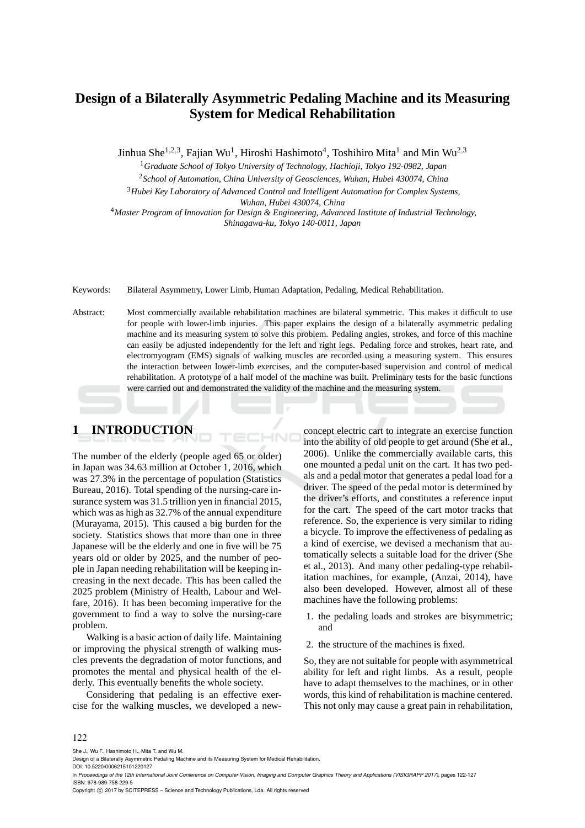## **Design of a Bilaterally Asymmetric Pedaling Machine and its Measuring System for Medical Rehabilitation**

Jinhua She $^{1,2,3}$ , Fajian Wu<sup>1</sup>, Hiroshi Hashimoto<sup>4</sup>, Toshihiro Mita<sup>1</sup> and Min Wu<sup>2,3</sup>

<sup>1</sup>*Graduate School of Tokyo University of Technology, Hachioji, Tokyo 192-0982, Japan*

<sup>2</sup>*School of Automation, China University of Geosciences, Wuhan, Hubei 430074, China*

<sup>3</sup>*Hubei Key Laboratory of Advanced Control and Intelligent Automation for Complex Systems,*

*Wuhan, Hubei 430074, China*

<sup>4</sup>*Master Program of Innovation for Design & Engineering, Advanced Institute of Industrial Technology, Shinagawa-ku, Tokyo 140-0011, Japan*

Keywords: Bilateral Asymmetry, Lower Limb, Human Adaptation, Pedaling, Medical Rehabilitation.

Abstract: Most commercially available rehabilitation machines are bilateral symmetric. This makes it difficult to use for people with lower-limb injuries. This paper explains the design of a bilaterally asymmetric pedaling machine and its measuring system to solve this problem. Pedaling angles, strokes, and force of this machine can easily be adjusted independently for the left and right legs. Pedaling force and strokes, heart rate, and electromyogram (EMS) signals of walking muscles are recorded using a measuring system. This ensures the interaction between lower-limb exercises, and the computer-based supervision and control of medical rehabilitation. A prototype of a half model of the machine was built. Preliminary tests for the basic functions were carried out and demonstrated the validity of the machine and the measuring system.

 $-NC$ 

# **1 INTRODUCTION**

The number of the elderly (people aged 65 or older) in Japan was 34.63 million at October 1, 2016, which was 27.3% in the percentage of population (Statistics Bureau, 2016). Total spending of the nursing-care insurance system was 31.5 trillion yen in financial 2015, which was as high as 32.7% of the annual expenditure (Murayama, 2015). This caused a big burden for the society. Statistics shows that more than one in three Japanese will be the elderly and one in five will be 75 years old or older by 2025, and the number of people in Japan needing rehabilitation will be keeping increasing in the next decade. This has been called the 2025 problem (Ministry of Health, Labour and Welfare, 2016). It has been becoming imperative for the government to find a way to solve the nursing-care problem.

Walking is a basic action of daily life. Maintaining or improving the physical strength of walking muscles prevents the degradation of motor functions, and promotes the mental and physical health of the elderly. This eventually benefits the whole society.

Considering that pedaling is an effective exercise for the walking muscles, we developed a newconcept electric cart to integrate an exercise function into the ability of old people to get around (She et al., 2006). Unlike the commercially available carts, this one mounted a pedal unit on the cart. It has two pedals and a pedal motor that generates a pedal load for a driver. The speed of the pedal motor is determined by the driver's efforts, and constitutes a reference input for the cart. The speed of the cart motor tracks that reference. So, the experience is very similar to riding a bicycle. To improve the effectiveness of pedaling as a kind of exercise, we devised a mechanism that automatically selects a suitable load for the driver (She et al., 2013). And many other pedaling-type rehabilitation machines, for example, (Anzai, 2014), have also been developed. However, almost all of these machines have the following problems:

- 1. the pedaling loads and strokes are bisymmetric; and
- 2. the structure of the machines is fixed.

So, they are not suitable for people with asymmetrical ability for left and right limbs. As a result, people have to adapt themselves to the machines, or in other words, this kind of rehabilitation is machine centered. This not only may cause a great pain in rehabilitation,

#### 122

She J., Wu F., Hashimoto H., Mita T. and Wu M.

DOI: 10.5220/0006215101220127

Copyright (C) 2017 by SCITEPRESS - Science and Technology Publications, Lda. All rights reserved

Design of a Bilaterally Asymmetric Pedaling Machine and its Measuring System for Medical Rehabilitation.

In *Proceedings of the 12th International Joint Conference on Computer Vision, Imaging and Computer Graphics Theory and Applications (VISIGRAPP 2017)*, pages 122-127 ISBN: 978-989-758-229-5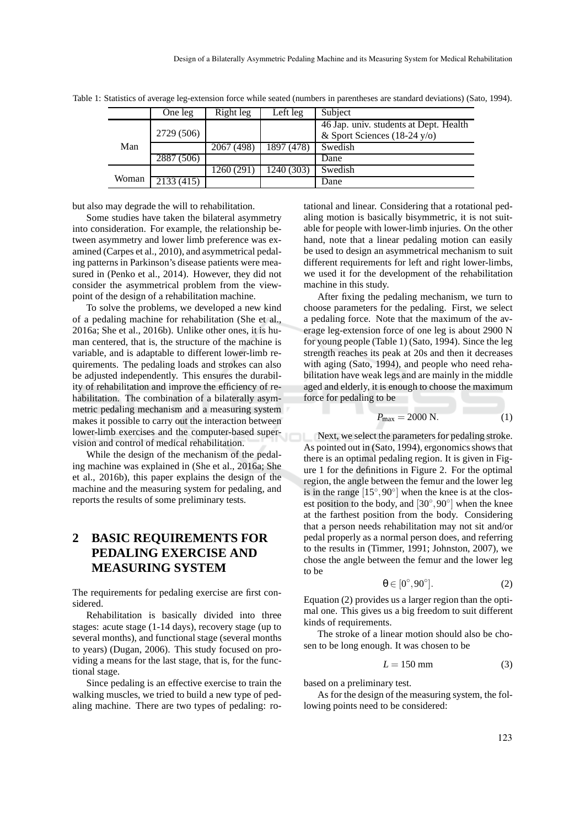|       | One leg    | Right leg  | Left leg   | Subject                                |  |
|-------|------------|------------|------------|----------------------------------------|--|
|       |            |            |            | 46 Jap. univ. students at Dept. Health |  |
|       | 2729 (506) |            |            | & Sport Sciences $(18-24 \text{ y/o})$ |  |
| Man   |            | 2067 (498) | 1897 (478) | Swedish                                |  |
|       | 2887 (506) |            |            | Dane                                   |  |
|       |            | 1260 (291) | 1240 (303) | Swedish                                |  |
| Woman | 2133(415)  |            |            | Dane                                   |  |

Table 1: Statistics of average leg-extension force while seated (numbers in parentheses are standard deviations) (Sato, 1994).

but also may degrade the will to rehabilitation.

Some studies have taken the bilateral asymmetry into consideration. For example, the relationship between asymmetry and lower limb preference was examined (Carpes et al., 2010), and asymmetrical pedaling patterns in Parkinson's disease patients were measured in (Penko et al., 2014). However, they did not consider the asymmetrical problem from the viewpoint of the design of a rehabilitation machine.

To solve the problems, we developed a new kind of a pedaling machine for rehabilitation (She et al., 2016a; She et al., 2016b). Unlike other ones, it is human centered, that is, the structure of the machine is variable, and is adaptable to different lower-limb requirements. The pedaling loads and strokes can also be adjusted independently. This ensures the durability of rehabilitation and improve the efficiency of rehabilitation. The combination of a bilaterally asymmetric pedaling mechanism and a measuring system makes it possible to carry out the interaction between lower-limb exercises and the computer-based supervision and control of medical rehabilitation.

While the design of the mechanism of the pedaling machine was explained in (She et al., 2016a; She et al., 2016b), this paper explains the design of the machine and the measuring system for pedaling, and reports the results of some preliminary tests.

## **2 BASIC REQUIREMENTS FOR PEDALING EXERCISE AND MEASURING SYSTEM**

The requirements for pedaling exercise are first considered.

Rehabilitation is basically divided into three stages: acute stage (1-14 days), recovery stage (up to several months), and functional stage (several months to years) (Dugan, 2006). This study focused on providing a means for the last stage, that is, for the functional stage.

Since pedaling is an effective exercise to train the walking muscles, we tried to build a new type of pedaling machine. There are two types of pedaling: ro-

tational and linear. Considering that a rotational pedaling motion is basically bisymmetric, it is not suitable for people with lower-limb injuries. On the other hand, note that a linear pedaling motion can easily be used to design an asymmetrical mechanism to suit different requirements for left and right lower-limbs, we used it for the development of the rehabilitation machine in this study.

After fixing the pedaling mechanism, we turn to choose parameters for the pedaling. First, we select a pedaling force. Note that the maximum of the average leg-extension force of one leg is about 2900 N for young people (Table 1) (Sato, 1994). Since the leg strength reaches its peak at 20s and then it decreases with aging (Sato, 1994), and people who need rehabilitation have weak legs and are mainly in the middle aged and elderly, it is enough to choose the maximum force for pedaling to be

$$
P_{\text{max}} = 2000 \text{ N.} \tag{1}
$$

Next, we select the parameters for pedaling stroke. As pointed out in (Sato, 1994), ergonomics shows that there is an optimal pedaling region. It is given in Figure 1 for the definitions in Figure 2. For the optimal region, the angle between the femur and the lower leg is in the range  $[15^{\circ}, 90^{\circ}]$  when the knee is at the closest position to the body, and  $[30^{\circ}, 90^{\circ}]$  when the knee at the farthest position from the body. Considering that a person needs rehabilitation may not sit and/or pedal properly as a normal person does, and referring to the results in (Timmer, 1991; Johnston, 2007), we chose the angle between the femur and the lower leg to be

$$
\theta \in [0^{\circ}, 90^{\circ}]. \tag{2}
$$

Equation (2) provides us a larger region than the optimal one. This gives us a big freedom to suit different kinds of requirements.

The stroke of a linear motion should also be chosen to be long enough. It was chosen to be

$$
L = 150 \text{ mm} \tag{3}
$$

based on a preliminary test.

As for the design of the measuring system, the following points need to be considered: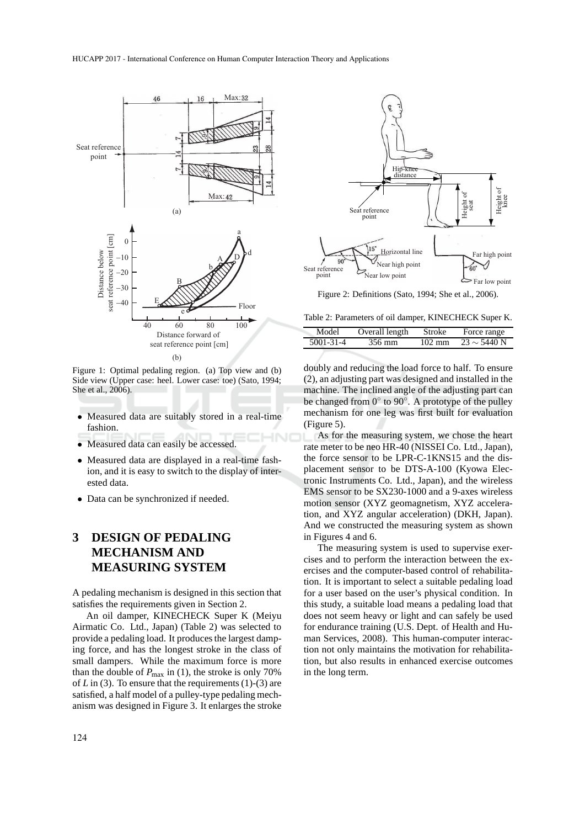

Figure 1: Optimal pedaling region. (a) Top view and (b) Side view (Upper case: heel. Lower case: toe) (Sato, 1994; She et al., 2006).

- Measured data are suitably stored in a real-time fashion.
- Measured data can easily be accessed.
- Measured data are displayed in a real-time fashion, and it is easy to switch to the display of interested data.
- Data can be synchronized if needed.

## **3 DESIGN OF PEDALING MECHANISM AND MEASURING SYSTEM**

A pedaling mechanism is designed in this section that satisfies the requirements given in Section 2.

An oil damper, KINECHECK Super K (Meiyu Airmatic Co. Ltd., Japan) (Table 2) was selected to provide a pedaling load. It produces the largest damping force, and has the longest stroke in the class of small dampers. While the maximum force is more than the double of  $P_{\text{max}}$  in (1), the stroke is only 70% of *L* in (3). To ensure that the requirements (1)-(3) are satisfied, a half model of a pulley-type pedaling mechanism was designed in Figure 3. It enlarges the stroke



Figure 2: Definitions (Sato, 1994; She et al., 2006).

Table 2: Parameters of oil damper, KINECHECK Super K.

| Model           | Overall length | Stroke           | Force range      |
|-----------------|----------------|------------------|------------------|
| $5001 - 31 - 4$ | 356 mm         | $102 \text{ mm}$ | $23 \sim 5440$ N |
|                 |                |                  |                  |

doubly and reducing the load force to half. To ensure (2), an adjusting part was designed and installed in the machine. The inclined angle of the adjusting part can be changed from 0° to 90°. A prototype of the pulley mechanism for one leg was first built for evaluation (Figure 5).

As for the measuring system, we chose the heart rate meter to be neo HR-40 (NISSEI Co. Ltd., Japan), the force sensor to be LPR-C-1KNS15 and the displacement sensor to be DTS-A-100 (Kyowa Electronic Instruments Co. Ltd., Japan), and the wireless EMS sensor to be SX230-1000 and a 9-axes wireless motion sensor (XYZ geomagnetism, XYZ acceleration, and XYZ angular acceleration) (DKH, Japan). And we constructed the measuring system as shown in Figures 4 and 6.

The measuring system is used to supervise exercises and to perform the interaction between the exercises and the computer-based control of rehabilitation. It is important to select a suitable pedaling load for a user based on the user's physical condition. In this study, a suitable load means a pedaling load that does not seem heavy or light and can safely be used for endurance training (U.S. Dept. of Health and Human Services, 2008). This human-computer interaction not only maintains the motivation for rehabilitation, but also results in enhanced exercise outcomes in the long term.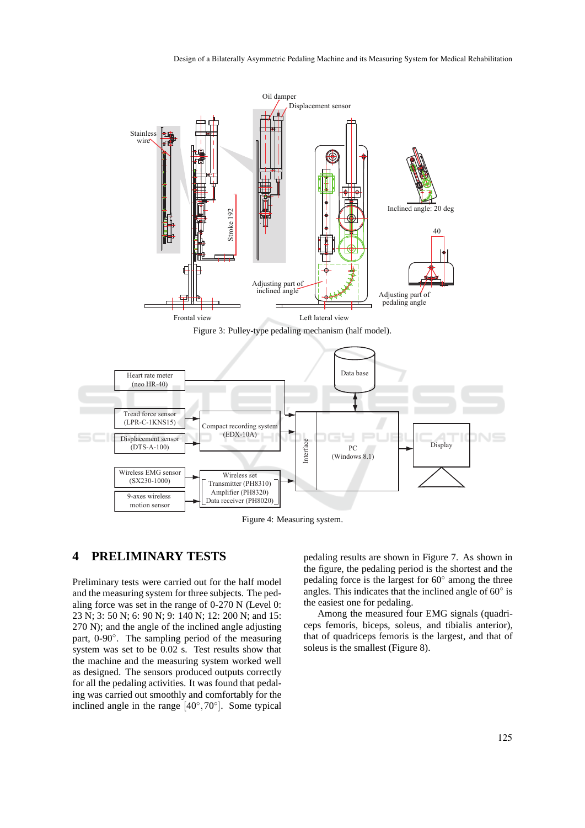

Figure 4: Measuring system.

## **4 PRELIMINARY TESTS**

Preliminary tests were carried out for the half model and the measuring system for three subjects. The pedaling force was set in the range of 0-270 N (Level 0: 23 N; 3: 50 N; 6: 90 N; 9: 140 N; 12: 200 N; and 15: 270 N); and the angle of the inclined angle adjusting part, 0-90°. The sampling period of the measuring system was set to be 0.02 s. Test results show that the machine and the measuring system worked well as designed. The sensors produced outputs correctly for all the pedaling activities. It was found that pedaling was carried out smoothly and comfortably for the inclined angle in the range  $[40^\circ, 70^\circ]$ . Some typical

pedaling results are shown in Figure 7. As shown in the figure, the pedaling period is the shortest and the pedaling force is the largest for 60◦ among the three angles. This indicates that the inclined angle of  $60^\circ$  is the easiest one for pedaling.

Among the measured four EMG signals (quadriceps femoris, biceps, soleus, and tibialis anterior), that of quadriceps femoris is the largest, and that of soleus is the smallest (Figure 8).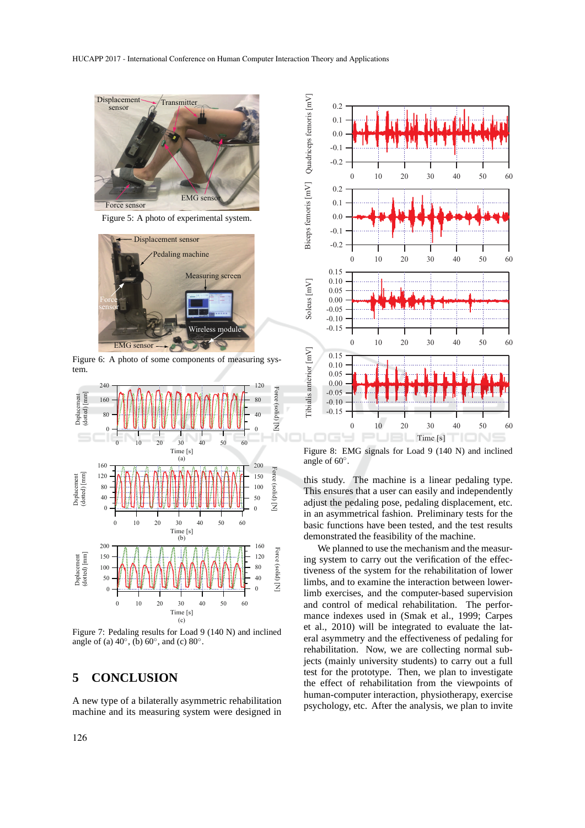

Figure 5: A photo of experimental system.



Figure 6: A photo of some components of measuring system.



Figure 7: Pedaling results for Load 9 (140 N) and inclined angle of (a)  $40^\circ$ , (b)  $60^\circ$ , and (c)  $80^\circ$ .

### **5 CONCLUSION**

A new type of a bilaterally asymmetric rehabilitation machine and its measuring system were designed in



Figure 8: EMG signals for Load 9 (140 N) and inclined angle of 60◦ .

this study. The machine is a linear pedaling type. This ensures that a user can easily and independently adjust the pedaling pose, pedaling displacement, etc. in an asymmetrical fashion. Preliminary tests for the basic functions have been tested, and the test results demonstrated the feasibility of the machine.

We planned to use the mechanism and the measuring system to carry out the verification of the effectiveness of the system for the rehabilitation of lower limbs, and to examine the interaction between lowerlimb exercises, and the computer-based supervision and control of medical rehabilitation. The performance indexes used in (Smak et al., 1999; Carpes et al., 2010) will be integrated to evaluate the lateral asymmetry and the effectiveness of pedaling for rehabilitation. Now, we are collecting normal subjects (mainly university students) to carry out a full test for the prototype. Then, we plan to investigate the effect of rehabilitation from the viewpoints of human-computer interaction, physiotherapy, exercise psychology, etc. After the analysis, we plan to invite